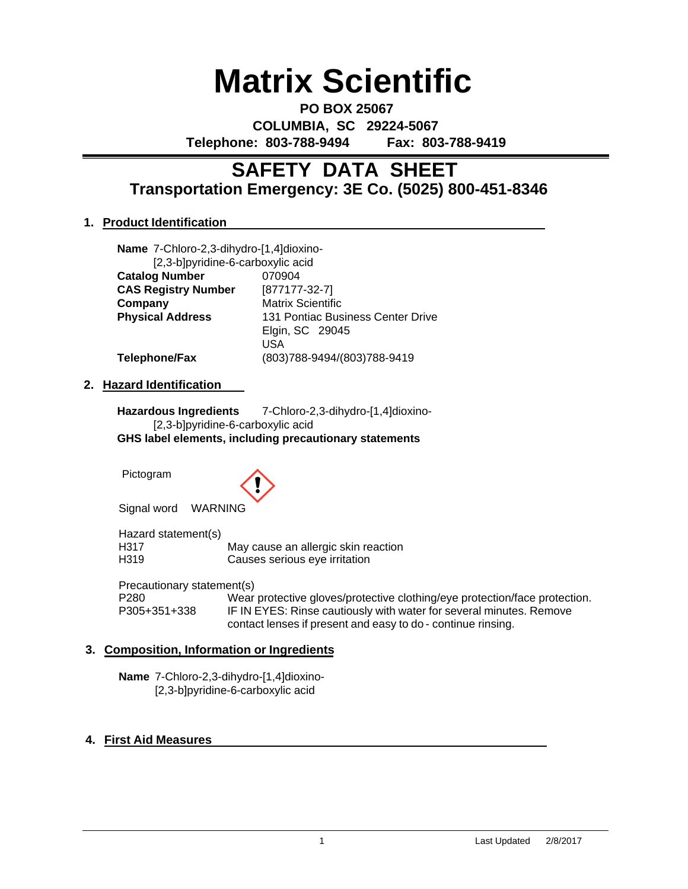# **Matrix Scientific**

**PO BOX 25067 COLUMBIA, SC 29224-5067 Telephone: 803-788-9494 Fax: 803-788-9419**

# **Transportation Emergency: 3E Co. (5025) 800-451-8346 SAFETY DATA SHEET**

# **1. Product Identification**

**Name** 7-Chloro-2,3-dihydro-[1,4]dioxino- [2,3-b]pyridine-6-carboxylic acid **Catalog Number** 070904 **CAS Registry Number** [877177-32-7] **Company** Matrix Scientific **Physical Address** 131 Pontiac Business Center Drive Elgin, SC 29045 USA **Telephone/Fax** (803)788-9494/(803)788-9419

# **2. Hazard Identification**

**Hazardous Ingredients** 7-Chloro-2,3-dihydro-[1,4]dioxino- [2,3-b]pyridine-6-carboxylic acid **GHS label elements, including precautionary statements**

Pictogram



Signal word WARNING

Hazard statement(s) H317 May cause an allergic skin reaction<br>
H319 Causes serious eve irritation Causes serious eye irritation

Precautionary statement(s)

P280 Wear protective gloves/protective clothing/eye protection/face protection.<br>P305+351+338 IF IN EYES: Rinse cautiously with water for several minutes. Remove IF IN EYES: Rinse cautiously with water for several minutes. Remove contact lenses if present and easy to do - continue rinsing.

# **3. Composition, Information or Ingredients**

**Name** 7-Chloro-2,3-dihydro-[1,4]dioxino- [2,3-b]pyridine-6-carboxylic acid

# **4. First Aid Measures**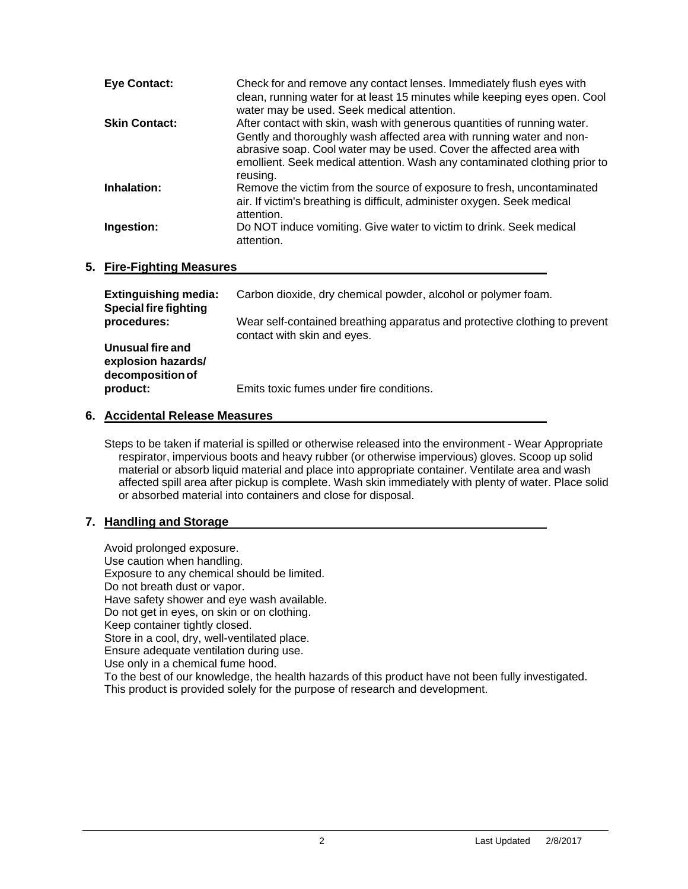| <b>Eye Contact:</b>  | Check for and remove any contact lenses. Immediately flush eyes with<br>clean, running water for at least 15 minutes while keeping eyes open. Cool<br>water may be used. Seek medical attention.                                                                                                                  |
|----------------------|-------------------------------------------------------------------------------------------------------------------------------------------------------------------------------------------------------------------------------------------------------------------------------------------------------------------|
| <b>Skin Contact:</b> | After contact with skin, wash with generous quantities of running water.<br>Gently and thoroughly wash affected area with running water and non-<br>abrasive soap. Cool water may be used. Cover the affected area with<br>emollient. Seek medical attention. Wash any contaminated clothing prior to<br>reusing. |
| Inhalation:          | Remove the victim from the source of exposure to fresh, uncontaminated<br>air. If victim's breathing is difficult, administer oxygen. Seek medical<br>attention.                                                                                                                                                  |
| Ingestion:           | Do NOT induce vomiting. Give water to victim to drink. Seek medical<br>attention.                                                                                                                                                                                                                                 |

# **5. Fire-Fighting Measures**

| <b>Extinguishing media:</b><br><b>Special fire fighting</b><br>procedures: | Carbon dioxide, dry chemical powder, alcohol or polymer foam.                                             |
|----------------------------------------------------------------------------|-----------------------------------------------------------------------------------------------------------|
|                                                                            | Wear self-contained breathing apparatus and protective clothing to prevent<br>contact with skin and eyes. |
| Unusual fire and<br>explosion hazards/<br>decomposition of                 |                                                                                                           |
| product:                                                                   | Emits toxic fumes under fire conditions.                                                                  |

# **6. Accidental Release Measures**

Steps to be taken if material is spilled or otherwise released into the environment - Wear Appropriate respirator, impervious boots and heavy rubber (or otherwise impervious) gloves. Scoop up solid material or absorb liquid material and place into appropriate container. Ventilate area and wash affected spill area after pickup is complete. Wash skin immediately with plenty of water. Place solid or absorbed material into containers and close for disposal.

# **7. Handling and Storage**

Avoid prolonged exposure. Use caution when handling. Exposure to any chemical should be limited. Do not breath dust or vapor. Have safety shower and eye wash available. Do not get in eyes, on skin or on clothing. Keep container tightly closed. Store in a cool, dry, well-ventilated place. Ensure adequate ventilation during use. Use only in a chemical fume hood. To the best of our knowledge, the health hazards of this product have not been fully investigated. This product is provided solely for the purpose of research and development.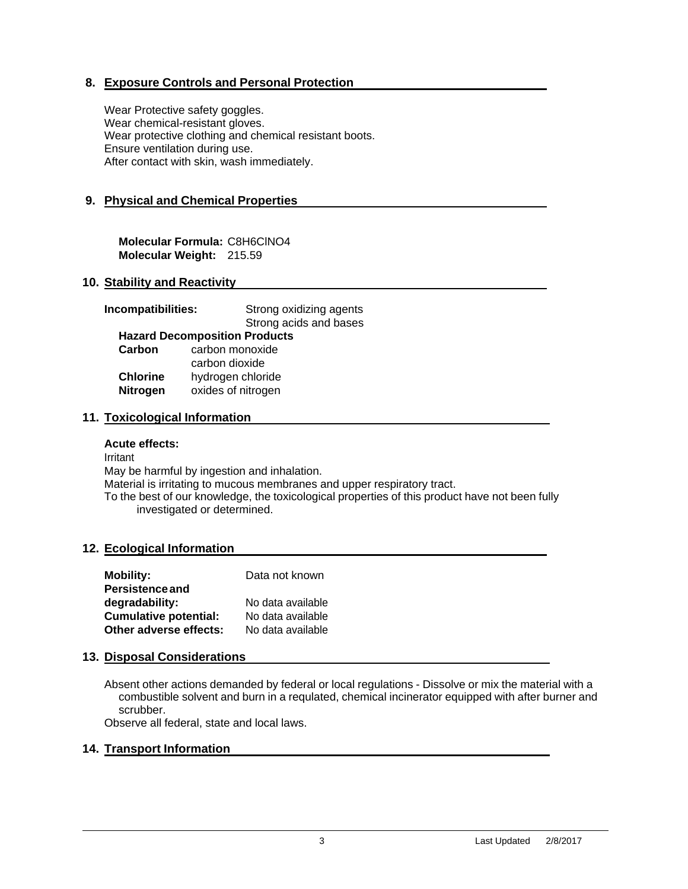# **8. Exposure Controls and Personal Protection**

Wear Protective safety goggles. Wear chemical-resistant gloves. Wear protective clothing and chemical resistant boots. Ensure ventilation during use. After contact with skin, wash immediately.

# **9. Physical and Chemical Properties**

**Molecular Formula:** C8H6ClNO4 **Molecular Weight:** 215.59

# **10. Stability and Reactivity**

| Incompatibilities: | Strong oxidizing agents              |  |
|--------------------|--------------------------------------|--|
|                    | Strong acids and bases               |  |
|                    | <b>Hazard Decomposition Products</b> |  |
| Carbon             | carbon monoxide                      |  |
|                    | carbon dioxide                       |  |
| <b>Chlorine</b>    | hydrogen chloride                    |  |
| <b>Nitrogen</b>    | oxides of nitrogen                   |  |
|                    |                                      |  |

#### **11. Toxicological Information**

#### **Acute effects:**

Irritant May be harmful by ingestion and inhalation. Material is irritating to mucous membranes and upper respiratory tract. To the best of our knowledge, the toxicological properties of this product have not been fully investigated or determined.

#### **12. Ecological Information**

| <b>Mobility:</b>             | Data not known    |
|------------------------------|-------------------|
| <b>Persistence and</b>       |                   |
| degradability:               | No data available |
| <b>Cumulative potential:</b> | No data available |
| Other adverse effects:       | No data available |

#### **13. Disposal Considerations**

Absent other actions demanded by federal or local regulations - Dissolve or mix the material with a combustible solvent and burn in a requlated, chemical incinerator equipped with after burner and scrubber.

Observe all federal, state and local laws.

#### **14. Transport Information**